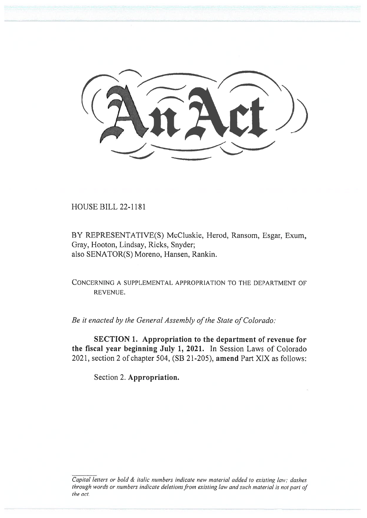

HOUSE BILL 22-1181

BY REPRESENTATIVE(S) McCluskie, Herod, Ransom, Esgar, Exum, Gray, Hooton, Lindsay, Ricks, Snyder; also SENATOR(S) Moreno, Hansen, Rankin.

CONCERNING A SUPPLEMENTAL APPROPRIATION TO THE DEPARTMENT OF REVENUE.

Be it enacted by the General Assembly of the State of Colorado:

SECTION 1. Appropriation to the department of revenue for the fiscal year beginning July 1, 2021. In Session Laws of Colorado 2021, section 2 of chapter 504, (SB 21-205), amend Part XIX as follows:

Section 2. Appropriation.

Capital letters or bold & italic numbers indicate new material added to existing law; dashes through words or numbers indicate deletions from existing law and such material is not part of the act.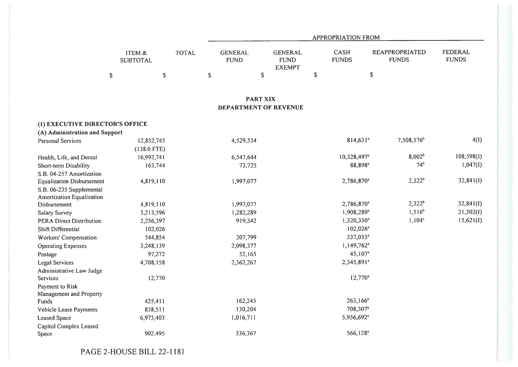|                                  |                                      |              | APPROPRIATION FROM            |                                                |             |                             |                                       |                                |  |
|----------------------------------|--------------------------------------|--------------|-------------------------------|------------------------------------------------|-------------|-----------------------------|---------------------------------------|--------------------------------|--|
|                                  | <b>ITEM &amp;</b><br><b>SUBTOTAL</b> | <b>TOTAL</b> | <b>GENERAL</b><br><b>FUND</b> | <b>GENERAL</b><br><b>FUND</b><br><b>EXEMPT</b> |             | <b>CASH</b><br><b>FUNDS</b> | <b>REAPPROPRIATED</b><br><b>FUNDS</b> | <b>FEDERAL</b><br><b>FUNDS</b> |  |
|                                  | $\mathbb S$<br>${\mathbb S}$         |              | ${\mathbb S}$                 | $\mathbb{S}$                                   | $\mathbb S$ |                             | $\mathbb S$                           |                                |  |
|                                  |                                      |              |                               | <b>PART XIX</b>                                |             |                             |                                       |                                |  |
|                                  |                                      |              |                               | DEPARTMENT OF REVENUE                          |             |                             |                                       |                                |  |
| (1) EXECUTIVE DIRECTOR'S OFFICE  |                                      |              |                               |                                                |             |                             |                                       |                                |  |
| (A) Administration and Support   |                                      |              |                               |                                                |             |                             |                                       |                                |  |
| <b>Personal Services</b>         | 12,852,745<br>$(138.0$ FTE)          |              | 4,529,534                     |                                                |             | $814,631^a$                 | 7,508,576 <sup>b</sup>                | 4(I)                           |  |
| Health, Life, and Dental         | 16,992,741                           |              | 6,547,644                     |                                                |             | 10,328,497 <sup>a</sup>     | 8,002 <sup>b</sup>                    | 108,598(1)                     |  |
| Short-term Disability            | 163,744                              |              | 73,725                        |                                                |             | 88,898 <sup>a</sup>         | 74 <sup>b</sup>                       | 1,047(1)                       |  |
| S.B. 04-257 Amortization         |                                      |              |                               |                                                |             |                             |                                       |                                |  |
| <b>Equalization Disbursement</b> | 4,819,110                            |              | 1,997,077                     |                                                |             | 2,786,870 <sup>a</sup>      | $2,322^b$                             | 32,841(I)                      |  |
| S.B. 06-235 Supplemental         |                                      |              |                               |                                                |             |                             |                                       |                                |  |
| Amortization Equalization        |                                      |              |                               |                                                |             |                             |                                       |                                |  |
| Disbursement                     | 4,819,110                            |              | 1,997,077                     |                                                |             | 2,786,870 <sup>a</sup>      | $2,322^b$                             | 32,841(1)                      |  |
| Salary Survey                    | 3,213,596                            |              | 1,282,289                     |                                                |             | 1,908,289 <sup>a</sup>      | $1,516^{b}$                           | 21,502(I)                      |  |
| <b>PERA Direct Distribution</b>  | 2,256,397                            |              | 919,342                       |                                                |             | 1,320,330 <sup>a</sup>      | $1,104^c$                             | 15,621(I)                      |  |
| Shift Differential               | 102,026                              |              |                               |                                                |             | $102,026^a$                 |                                       |                                |  |
| Workers' Compensation            | 544,854                              |              | 207,799                       |                                                |             | 337,055 <sup>a</sup>        |                                       |                                |  |
| <b>Operating Expenses</b>        | 3,248,139                            |              | 2,098,377                     |                                                |             | $1,149,762$ <sup>a</sup>    |                                       |                                |  |
| Postage                          | 97,272                               |              | 52,165                        |                                                |             | 45,107 <sup>a</sup>         |                                       |                                |  |
| <b>Legal Services</b>            | 4,708,158                            |              | 2,362,267                     |                                                |             | 2,345,891 <sup>a</sup>      |                                       |                                |  |
| Administrative Law Judge         |                                      |              |                               |                                                |             |                             |                                       |                                |  |
| Services                         | 12,770                               |              |                               |                                                |             | $12,770^a$                  |                                       |                                |  |
| Payment to Risk                  |                                      |              |                               |                                                |             |                             |                                       |                                |  |
| Management and Property          |                                      |              |                               |                                                |             |                             |                                       |                                |  |
| Funds                            | 425,411                              |              | 162,245                       |                                                |             | $263,166^a$                 |                                       |                                |  |
| Vehicle Lease Payments           | 838,511                              |              | 130,204                       |                                                |             | 708,307 <sup>a</sup>        |                                       |                                |  |
| <b>Leased Space</b>              | 6,973,403                            |              | 1,016,711                     |                                                |             | 5,956,692 <sup>a</sup>      |                                       |                                |  |
| Capitol Complex Leased<br>Space  | 902,495                              |              | 336,367                       |                                                |             | 566,128 <sup>a</sup>        |                                       |                                |  |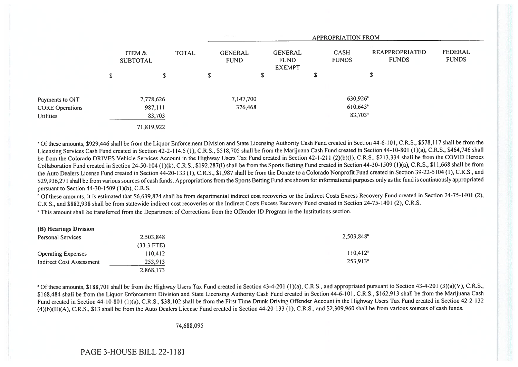|                        |                           |              |    | $\mathcal{L}(\mathcal{C}) = \mathcal{L}(\mathcal{C})$<br>APPROPRIATION FROM |                                                |   |                             |                                |                                |
|------------------------|---------------------------|--------------|----|-----------------------------------------------------------------------------|------------------------------------------------|---|-----------------------------|--------------------------------|--------------------------------|
|                        | ITEM &<br><b>SUBTOTAL</b> | <b>TOTAL</b> |    | <b>GENERAL</b><br><b>FUND</b>                                               | <b>GENERAL</b><br><b>FUND</b><br><b>EXEMPT</b> |   | <b>CASH</b><br><b>FUNDS</b> | REAPPROPRIATED<br><b>FUNDS</b> | <b>FEDERAL</b><br><b>FUNDS</b> |
|                        | \$<br>\$                  |              | \$ |                                                                             | S                                              | S |                             | \$                             |                                |
| Payments to OIT        | 7,778,626                 |              |    | 7,147,700                                                                   |                                                |   | 630,926 <sup>a</sup>        |                                |                                |
| <b>CORE Operations</b> | 987,111                   |              |    | 376,468                                                                     |                                                |   | $610,643$ <sup>a</sup>      |                                |                                |
| Utilities              | 83,703                    |              |    |                                                                             |                                                |   | 83,703 <sup>a</sup>         |                                |                                |
|                        | 71,819,922                |              |    |                                                                             |                                                |   |                             |                                |                                |

<sup>a</sup> Of these amounts, \$929,446 shall be from the Liquor Enforcement Division and State Licensing Authority Cash Fund created in Section 44-6-101, C.R.S., \$578,117 shall be from the Licensing Services Cash Fund created in Section 42-2-114.5 (1), C.R.S., \$518,705 shall be from the Marijuana Cash Fund created in Section 44-10-801 (1)(a), C.R.S., \$464,746 shall be from the Colorado DRIVES Vehicle Services Account in the Highway Users Tax Fund created in Section 42-1-211 (2)(b)(I), C.R.S., \$213,334 shall be from the COVID Heroes Collaboration Fund created in Section 24-50-104 (1)(k), C.R.S., \$192,287(I) shall be from the Sports Betting Fund created in Section 44-30-1509 (1)(a), C.R.S., \$11,668 shall be from the Auto Dealers License Fund created in Section 44-20-133 (1), C.R.S., \$1,987 shall be from the Donate to a Colorado Nonprofit Fund created in Section 39-22-5104 (1), C.R.S., and \$29,936,271 shall be from various sources of cash funds. Appropriations from the Sports Betting Fund are shown for informational purposes only as the fund is continuously appropriated pursuant to Section 44-30-1509 (1)(b), C.R.S.

<sup>b</sup> Of these amounts, it is estimated that \$6,639,874 shall be from departmental indirect cost recoveries or the Indirect Costs Excess Recovery Fund created in Section 24-75-1401 (2), C.R.S., and \$882,938 shall be from statewide indirect cost recoveries or the Indirect Costs Excess Recovery Fund created in Section 24-75-1401 (2), C.R.S.

' This amount shall be transferred from the Department of Corrections from the Offender ID Program in the Institutions section.

| (B) Hearings Division     |              |                        |
|---------------------------|--------------|------------------------|
| <b>Personal Services</b>  | 2,503,848    | 2,503,848 <sup>a</sup> |
|                           | $(33.3$ FTE) |                        |
| <b>Operating Expenses</b> | 110.412      | 110.412 <sup>a</sup>   |
| Indirect Cost Assessment  | 253,913      | $253.913$ <sup>a</sup> |
|                           | 2,868,173    |                        |

<sup>a</sup> Of these amounts, \$188,701 shall be from the Highway Users Tax Fund created in Section 43-4-201 (1)(a), C.R.S., and appropriated pursuant to Section 43-4-201 (3)(a)(V), C.R.S., \$168,484 shall be from the Liquor Enforcement Division and State Licensing Authority Cash Fund created in Section 44-6-101, C.R.S., \$162,913 shall be from the Marijuana Cash Fund created in Section 44-10-801 (1)(a), C.R.S., \$38,102 shall be from the First Time Drunk Driving Offender Account in the Highway Users Tax Fund created in Section 42-2-132 (4)(b)(II)(A), C.R.S., \$13 shall be from the Auto Dealers License Fund created in Section 44-20-133 (1), C.R.S., and \$2,309,960 shall be from various sources of cash funds.

74,688,095

PAGE 3-HOUSE BILL 22-1181

 $\cos \theta$  is division by Division Division  $\theta$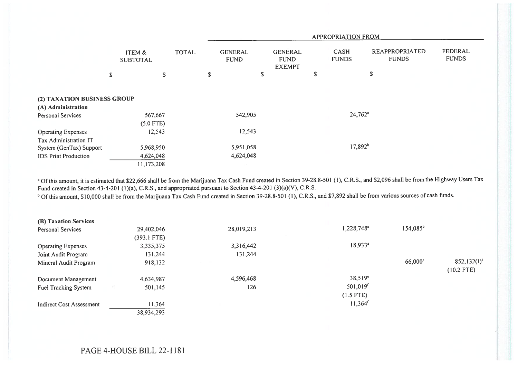|                                                   |                           | <b>APPROPRIATION FROM</b> |                               |                                                |    |                             |                                       |                         |  |
|---------------------------------------------------|---------------------------|---------------------------|-------------------------------|------------------------------------------------|----|-----------------------------|---------------------------------------|-------------------------|--|
|                                                   | ITEM &<br><b>SUBTOTAL</b> | <b>TOTAL</b>              | <b>GENERAL</b><br><b>FUND</b> | <b>GENERAL</b><br><b>FUND</b><br><b>EXEMPT</b> |    | <b>CASH</b><br><b>FUNDS</b> | <b>REAPPROPRIATED</b><br><b>FUNDS</b> | FEDERAL<br><b>FUNDS</b> |  |
|                                                   | \$<br>\$                  |                           | \$                            | \$                                             | \$ |                             | \$                                    |                         |  |
| (2) TAXATION BUSINESS GROUP<br>(A) Administration |                           |                           |                               |                                                |    |                             |                                       |                         |  |
| <b>Personal Services</b>                          | 567,667<br>$(5.0$ FTE)    |                           | 542,905                       |                                                |    | $24,762^a$                  |                                       |                         |  |
| <b>Operating Expenses</b>                         | 12,543                    |                           | 12,543                        |                                                |    |                             |                                       |                         |  |
| Tax Administration IT                             |                           |                           |                               |                                                |    |                             |                                       |                         |  |
| System (GenTax) Support                           | 5,968,950                 |                           | 5,951,058                     |                                                |    | $17,892^{b}$                |                                       |                         |  |
| <b>IDS Print Production</b>                       | 4,624,048                 |                           | 4,624,048                     |                                                |    |                             |                                       |                         |  |
|                                                   | 11,173,208                |                           |                               |                                                |    |                             |                                       |                         |  |

<sup>a</sup> Of this amount, it is estimated that \$22,666 shall be from the Marijuana Tax Cash Fund created in Section 39-28.8-501 (1), C.R.S., and \$2,096 shall be from the Highway Users Tax Fund created in Section 43-4-201 (1)(a), C.R.S., and appropriated pursuant to Section 43-4-201 (3)(a)(V), C.R.S.

<sup>b</sup> Of this amount, \$10,000 shall be from the Marijuana Tax Cash Fund created in Section 39-28.8-501 (1), C.R.S., and \$7,892 shall be from various sources of cash funds.

| (B) Taxation Services     |               |            |                        |               |                         |
|---------------------------|---------------|------------|------------------------|---------------|-------------------------|
| <b>Personal Services</b>  | 29,402,046    | 28,019,213 | 1,228,748 <sup>a</sup> | $154,085^{b}$ |                         |
|                           | $(393.1$ FTE) |            |                        |               |                         |
| <b>Operating Expenses</b> | 3,335,375     | 3,316,442  | $18,933^a$             |               |                         |
| Joint Audit Program       | 131,244       | 131,244    |                        |               |                         |
| Mineral Audit Program     | 918,132       |            |                        | $66,000$ c    | 852,132(1) <sup>d</sup> |
|                           |               |            |                        |               | $(10.2$ FTE)            |
| Document Management       | 4,634,987     | 4,596,468  | $38,519^{\circ}$       |               |                         |
| Fuel Tracking System      | 501,145       | 126        | 501,019 <sup>f</sup>   |               |                         |
|                           |               |            | $(1.5$ FTE)            |               |                         |
| Indirect Cost Assessment  | 11,364        |            | $11,364$ <sup>f</sup>  |               |                         |
|                           | 38,934,293    |            |                        |               |                         |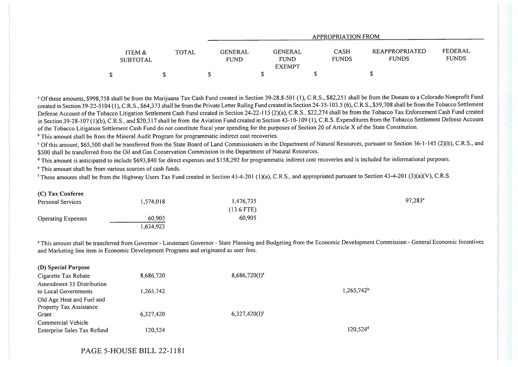|                           |       | <b>APPROPRIATION FROM</b> |                                                |                             |                                |                         |  |  |
|---------------------------|-------|---------------------------|------------------------------------------------|-----------------------------|--------------------------------|-------------------------|--|--|
| ITEM &<br><b>SUBTOTAL</b> | TOTAL | GENERAL<br><b>FUND</b>    | <b>GENERAL</b><br><b>FUND</b><br><b>EXEMPT</b> | <b>CASH</b><br><b>FUNDS</b> | REAPPROPRIATED<br><b>FUNDS</b> | FEDERAL<br><b>FUNDS</b> |  |  |
|                           |       |                           |                                                |                             |                                |                         |  |  |

<sup>a</sup> Of these amounts, \$998,758 shall be from the Marijuana Tax Cash Fund created in Section 39-28.8-501 (1), C.R.S., \$82,251 shall be from the Donate to a Colorado Nonprofit Fund created in Section 39-22-5104 (1), C.R.S., \$64,373 shall be from the Private Letter Ruling Fund created in Section 24-35-103.5 (6), C.R.S., \$59,708 shall be from the Tobacco Settlement Defense Account of the Tobacco Litigation Settlement Cash Fund created in Section 24-22-115 (2)(a), C.R.S., \$22,274 shall be from the Tobacco Tax Enforcement Cash Fund created in Section 39-28-107 (1)(b), C.R.S., and \$20,317 shall be from the Aviation Fund created in Section 43-10-109 (1), C.R.S. Expenditures from the Tobacco Settlement Defense Account of the Tobacco Litigation Settlement Cash Fund do not constitute fiscal year spending for the purposes of Section 20 of Article X of the State Constitution.

<sup>b</sup> This amount shall be from the Mineral Audit Program for programmatic indirect cost recoveries.

<sup>c</sup> Of this amount, \$65,500 shall be transferred from the State Board of Land Commissioners in the Department of Natural Resources, pursuant to Section 36-1-145 (2)(b), C.R.S., and \$500 shall be transferred from the Oil and Gas Conservation Commission in the Department of Natural Resources.

<sup>d</sup> This amount is anticipated to include \$693,840 for direct expenses and \$158,292 for programmatic indirect cost recoveries and is included for informational purposes.

This amount shall be from various sources of cash funds.

<sup>f</sup> These amounts shall be from the Highway Users Tax Fund created in Section 43-4-201 (1)(a), C.R.S., and appropriated pursuant to Section 43-4-201 (3)(a)(V), C.R.S.

## (C) Tax Conferee

 $\alpha$  Special Purpose  $\alpha$ 

| <b>Personal Services</b>  | 1,574,018 | 1,476,735    | 97,283 <sup>a</sup> |
|---------------------------|-----------|--------------|---------------------|
|                           |           | $(13.6$ FTE) |                     |
| <b>Operating Expenses</b> | 60,905    | 60,905       |                     |
|                           | .,634,923 |              |                     |

<sup>a</sup> This amount shall be transferred from Governor - Lieutenant Governor - State Planning and Budgeting from the Economic Development Commission - General Economic Incentives and Marketing line item in Economic Development Programs and originated as user fees.

| (D) Special Purpose         |           |                    |               |
|-----------------------------|-----------|--------------------|---------------|
| Cigarette Tax Rebate        | 8,686,720 | $8,686,720(I)^{a}$ |               |
| Amendment 35 Distribution   |           |                    |               |
| to Local Governments        | 1,265,742 |                    | $1,265,742^b$ |
| Old Age Heat and Fuel and   |           |                    |               |
| Property Tax Assistance     |           |                    |               |
| Grant                       | 6,327,420 | $6,327,420(I)^c$   |               |
| Commercial Vehicle          |           |                    |               |
| Enterprise Sales Tax Refund | 120,524   |                    | $120,524^d$   |
|                             |           |                    |               |

PAGE 5-HOUSE BILL 22-1181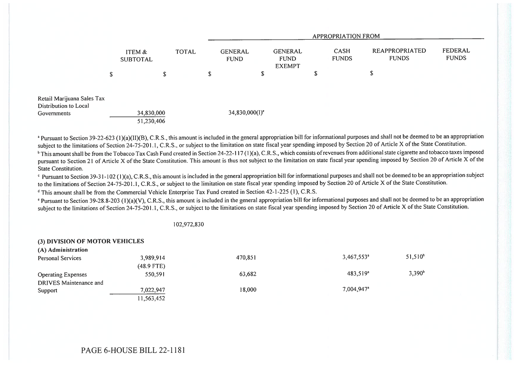|                                                                    |                           |              |   | APPROPRIATION FROM            |    |                                                |        |                             |                                |                         |
|--------------------------------------------------------------------|---------------------------|--------------|---|-------------------------------|----|------------------------------------------------|--------|-----------------------------|--------------------------------|-------------------------|
|                                                                    | ITEM &<br><b>SUBTOTAL</b> | <b>TOTAL</b> |   | <b>GENERAL</b><br><b>FUND</b> |    | <b>GENERAL</b><br><b>FUND</b><br><b>EXEMPT</b> |        | <b>CASH</b><br><b>FUNDS</b> | REAPPROPRIATED<br><b>FUNDS</b> | FEDERAL<br><b>FUNDS</b> |
|                                                                    | \$<br>\$                  |              | S |                               | \$ |                                                | œ<br>ъ |                             | D                              |                         |
| Retail Marijuana Sales Tax<br>Distribution to Local<br>Governments | 34,830,000<br>51,230,406  |              |   | $34,830,000(I)^e$             |    |                                                |        |                             |                                |                         |

<sup>a</sup> Pursuant to Section 39-22-623 (1)(a)(II)(B), C.R.S., this amount is included in the general appropriation bill for informational purposes and shall not be deemed to be an appropriation subject to the limitations of Section 24-75-201.1, C.R.S., or subject to the limitation on state fiscal year spending imposed by Section 20 of Article X of the State Constitution.

<sup>b</sup> This amount shall be from the Tobacco Tax Cash Fund created in Section 24-22-117 (1)(a), C.R.S., which consists of revenues from additional state cigarette and tobacco taxes imposed pursuant to Section 21 of Article X of the State Constitution. This amount is thus not subject to the limitation on state fiscal year spending imposed by Section 20 of Article X of the State Constitution.

c Pursuant to Section 39-31- 102 (1)(a), C.R.S., this amount is included in the general appropriation bill for informational purposes and shall not be deemed to be an appropriation subject to the limitations of Section 24-75-201.1, C.R.S., or subject to the limitation on state fiscal year spending imposed by Section 20 of Article X of the State Constitution.

<sup>d</sup> This amount shall be from the Commercial Vehicle Enterprise Tax Fund created in Section 42-1-225 (1), C.R.S.

' Pursuant to Section 39-28.8-203 (1)(a)(V), C.R.S., this amount is included in the general appropriation bill for informational purposes and shall not be deemed to be an appropriation subject to the limitations of Section 24-75-201.1, C.R.S., or subject to the limitations on state fiscal year spending imposed by Section 20 of Article X of the State Constitution.

102,972,830

| (3) DIVISION OF MOTOR VEHICLES |              |         |                        |                 |
|--------------------------------|--------------|---------|------------------------|-----------------|
| (A) Administration             |              |         |                        |                 |
| <b>Personal Services</b>       | 3,989,914    | 470,851 | 3,467,553 <sup>a</sup> | $51,510^{b}$    |
|                                | $(48.9$ FTE) |         |                        |                 |
| <b>Operating Expenses</b>      | 550,591      | 63,682  | 483.519 <sup>a</sup>   | $3,390^{\circ}$ |
| DRIVES Maintenance and         |              |         |                        |                 |
| Support                        | 7,022,947    | 18,000  | 7.004.947 <sup>a</sup> |                 |
|                                | 11,563,452   |         |                        |                 |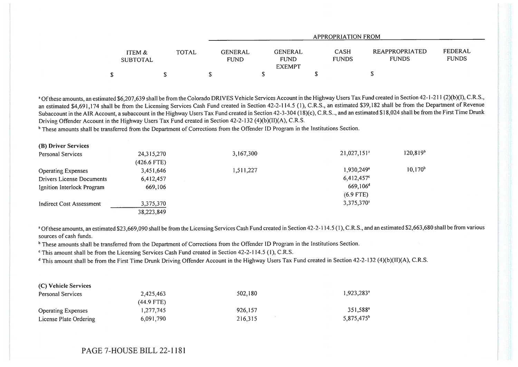|                           |       | APPROPRIATION FROM            |                                         |                             |                                       |                         |  |  |
|---------------------------|-------|-------------------------------|-----------------------------------------|-----------------------------|---------------------------------------|-------------------------|--|--|
| ITEM &<br><b>SUBTOTAL</b> | TOTAL | <b>GENERAL</b><br><b>FUND</b> | GENERAL<br><b>FUND</b><br><b>EXEMPT</b> | <b>CASH</b><br><b>FUNDS</b> | <b>REAPPROPRIATED</b><br><b>FUNDS</b> | FEDERAL<br><b>FUNDS</b> |  |  |
|                           |       |                               |                                         |                             |                                       |                         |  |  |

<sup>a</sup> Of these amounts, an estimated \$6,207,639 shall be from the Colorado DRIVES Vehicle Services Account in the Highway Users Tax Fund created in Section 42-1-211 (2)(b)(I), C.R.S., an estimated \$4,691,174 shall be from the Licensing Services Cash Fund created in Section 42-2-114.5 (1), C.R.S., an estimated \$39,182 shall be from the Department of Revenue Subaccount in the AIR Account, a subaccount in the Highway Users Tax Fund created in Section 42-3-304 (18)(c), C.R.S., and an estimated \$18,024 shall be from the First Time Drunk Driving Offender Account in the Highway Users Tax Fund created in Section 42-2-132 (4)(b)(Il)(A), C.R.S.

<sup>b</sup> These amounts shall be transferred from the Department of Corrections from the Offender ID Program in the Institutions Section.

| (B) Driver Services              |             |           |                           |               |
|----------------------------------|-------------|-----------|---------------------------|---------------|
| Personal Services                | 24,315,270  | 3,167,300 | $21,027,151$ <sup>a</sup> | $120,819^{b}$ |
|                                  | (426.6 FTE) |           |                           |               |
| <b>Operating Expenses</b>        | 3,451,646   | 1,511,227 | 1,930,249 <sup>a</sup>    | $10,170^b$    |
| <b>Drivers License Documents</b> | 6,412,457   |           | $6,412,457^c$             |               |
| Ignition Interlock Program       | 669,106     |           | $669,106^d$               |               |
|                                  |             |           | $(6.9$ FTE)               |               |
| Indirect Cost Assessment         | 3,375,370   |           | 3,375,370 <sup>a</sup>    |               |
|                                  | 38,223,849  |           |                           |               |

<sup>a</sup> Of these amounts, an estimated \$23,669,090 shall be from the Licensing Services Cash Fund created in Section 42-2-114.5 (1), C.R.S., and an estimated \$2,663,680 shall be from various sources of cash funds.

<sup>b</sup> These amounts shall be transferred from the Department of Corrections from the Offender ID Program in the Institutions Section.

This amount shall be from the Licensing Services Cash Fund created in Section 42-2-114.5 (1), C.R.S.

° This amount shall be from the First Time Drunk Driving Offender Account in the Highway Users Tax Fund created in Section 42-2-132 (4)(b)(II)(A), C.R.S.

| (C) Vehicle Services      |              |         |                          |
|---------------------------|--------------|---------|--------------------------|
| Personal Services         | 2,425,463    | 502.180 | $1.923.283$ <sup>a</sup> |
|                           | $(44.9$ FTE) |         |                          |
| <b>Operating Expenses</b> | 1,277,745    | 926,157 | 351.588 <sup>a</sup>     |
| License Plate Ordering    | 6,091,790    | 216.315 | $5,875,475^b$            |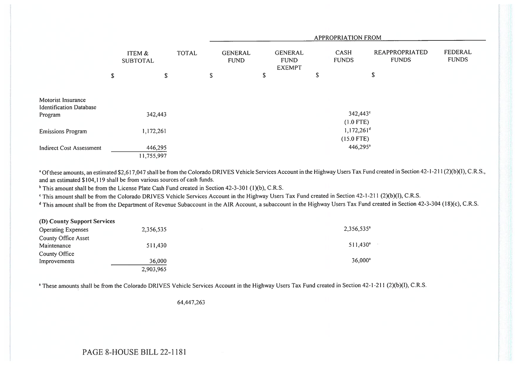|                                                                 |           |                           |              |                               |    |                                                |    | <b>APPROPRIATION FROM</b> |                                       |                                |
|-----------------------------------------------------------------|-----------|---------------------------|--------------|-------------------------------|----|------------------------------------------------|----|---------------------------|---------------------------------------|--------------------------------|
|                                                                 |           | ITEM &<br><b>SUBTOTAL</b> | <b>TOTAL</b> | <b>GENERAL</b><br><b>FUND</b> |    | <b>GENERAL</b><br><b>FUND</b><br><b>EXEMPT</b> |    | CASH<br><b>FUNDS</b>      | <b>REAPPROPRIATED</b><br><b>FUNDS</b> | <b>FEDERAL</b><br><b>FUNDS</b> |
|                                                                 | \$        | \$                        |              | \$                            | \$ |                                                | \$ |                           | \$                                    |                                |
| Motorist Insurance<br><b>Identification Database</b><br>Program |           | 342,443                   |              |                               |    |                                                |    | 342,443°<br>$(1.0$ FTE)   |                                       |                                |
| <b>Emissions Program</b>                                        | 1,172,261 |                           |              | $1,172,261^d$<br>$(15.0$ FTE) |    |                                                |    |                           |                                       |                                |
| <b>Indirect Cost Assessment</b>                                 |           | 446,295<br>11,755,997     |              |                               |    |                                                |    | $446,295^{\circ}$         |                                       |                                |

<sup>a</sup> Of these amounts, an estimated \$2,617,047 shall be from the Colorado DRIVES Vehicle Services Account in the Highway Users Tax Fund created in Section 42-1-211 (2)(b)(1), C.R.S., and an estimated \$104,119 shall be from various sources of cash funds.

<sup>b</sup> This amount shall be from the License Plate Cash Fund created in Section 42-3-301 (1)(b), C.R.S.

`This amount shall be from the Colorado DRIVES Vehicle Services Account in the Highway Users Tax Fund created in Section 42-1-211 (2)(b)(I), C.R.S.

<sup>d</sup> This amount shall be from the Department of Revenue Subaccount in the AIR Account, a subaccount in the Highway Users Tax Fund created in Section 42-3-304 (18)(c), C.R.S.

| (D) County Support Services |           |                        |
|-----------------------------|-----------|------------------------|
| <b>Operating Expenses</b>   | 2,356,535 | 2,356,535 <sup>a</sup> |
| <b>County Office Asset</b>  |           |                        |
| Maintenance                 | 511,430   | $511,430^a$            |
| County Office               |           |                        |
| Improvements                | 36,000    | $36,000^{\circ}$       |
|                             | 2,903,965 |                        |

<sup>a</sup> These amounts shall be from the Colorado DRIVES Vehicle Services Account in the Highway Users Tax Fund created in Section 42-1-211 (2)(b)(I), C.R.S.

64,447,263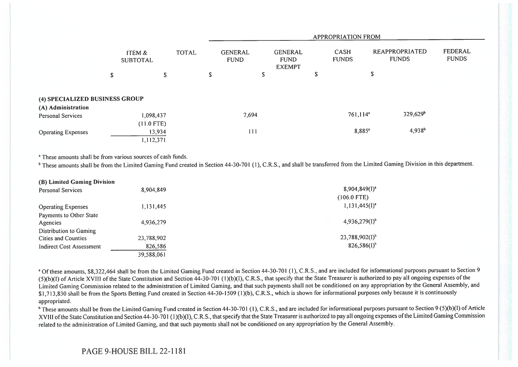|                                         |                           |        |              |                               |                                                |   | APPROPRIATION FROM          |                                       |                         |
|-----------------------------------------|---------------------------|--------|--------------|-------------------------------|------------------------------------------------|---|-----------------------------|---------------------------------------|-------------------------|
|                                         | ITEM &<br><b>SUBTOTAL</b> |        | <b>TOTAL</b> | <b>GENERAL</b><br><b>FUND</b> | <b>GENERAL</b><br><b>FUND</b><br><b>EXEMPT</b> |   | <b>CASH</b><br><b>FUNDS</b> | <b>REAPPROPRIATED</b><br><b>FUNDS</b> | FEDERAL<br><b>FUNDS</b> |
|                                         | \$                        | \$     |              | \$                            | \$                                             | ъ |                             | \$                                    |                         |
| (4) SPECIALIZED BUSINESS GROUP          |                           |        |              |                               |                                                |   |                             |                                       |                         |
| (A) Administration<br>Personal Services | 1,098,437                 |        |              | 7,694                         |                                                |   | $761,114^a$                 | $329,629$ <sup>b</sup>                |                         |
| <b>Operating Expenses</b>               | $(11.0$ FTE)<br>1,112,371 | 13,934 |              | 111                           |                                                |   | 8,885 <sup>a</sup>          | $4,938^{b}$                           |                         |

<sup>a</sup> These amounts shall be from various sources of cash funds.

<sup>b</sup> These amounts shall be from the Limited Gaming Fund created in Section 44-30-701 (1), C.R.S., and shall be transferred from the Limited Gaming Division in this department.

| (B) Limited Gaming Division     |            |                           |
|---------------------------------|------------|---------------------------|
| <b>Personal Services</b>        | 8,904,849  | $8,904,849(1)^{3}$        |
|                                 |            | $(106.0$ FTE)             |
| <b>Operating Expenses</b>       | 1,131,445  | $1,131,445(1)^{a}$        |
| Payments to Other State         |            |                           |
| Agencies                        | 4.936,279  | $4,936,279(1)^{6}$        |
| Distribution to Gaming          |            |                           |
| Cities and Counties             | 23,788,902 | $23,788,902(1)^{b}$       |
| <b>Indirect Cost Assessment</b> | 826,586    | $826,586(1)$ <sup>b</sup> |
|                                 | 39,588,061 |                           |

<sup>a</sup> Of these amounts, \$8,322,464 shall be from the Limited Gaming Fund created in Section 44-30-701 (1), C.R.S., and are included for informational purposes pursuant to Section 9 (5)(b)(I) of Article XVIII of the State Constitution and Section 44-30-701 (1)(b)(I), C.R.S., that specify that the State Treasurer is authorized to pay all ongoing expenses of the Limited Gaming Commission related to the administration of Limited Gaming, and that such payments shall not be conditioned on any appropriation by the General Assembly, and \$1,713,830 shall be from the Sports Betting Fund created in Section 44-30-1509 (1)(b), C.R.S., which is shown for informational purposes only because it is continuously appropriated.

<sup>b</sup> These amounts shall be from the Limited Gaming Fund created in Section 44-30-701 (1), C.R.S., and are included for informational purposes pursuant to Section 9 (5)(b)(l) of Article XVIII of the State Constitution and Section 44-30-701 (1)(b)(1), C.R.S., that specify that the State Treasurer is authorized to pay all ongoing expenses of the Limited Gaming Commission related to the administration of Limited Gaming, and that such payments shall not be conditioned on any appropriation by the General Assembly.

## PAGE 9-HOUSE BILL 22-1181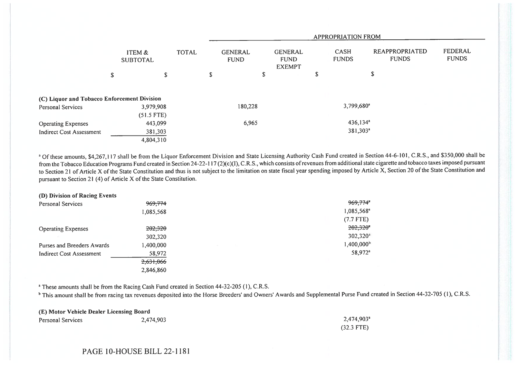|                                             |                           |              |   |                               |                                                |    | <b>APPROPRIATION FROM</b>   |                                |                                |
|---------------------------------------------|---------------------------|--------------|---|-------------------------------|------------------------------------------------|----|-----------------------------|--------------------------------|--------------------------------|
|                                             | ITEM &<br><b>SUBTOTAL</b> | <b>TOTAL</b> |   | <b>GENERAL</b><br><b>FUND</b> | <b>GENERAL</b><br><b>FUND</b><br><b>EXEMPT</b> |    | <b>CASH</b><br><b>FUNDS</b> | REAPPROPRIATED<br><b>FUNDS</b> | <b>FEDERAL</b><br><b>FUNDS</b> |
|                                             | \$                        | \$           | S |                               | \$                                             | S. |                             | \$                             |                                |
| (C) Liquor and Tobacco Enforcement Division |                           |              |   |                               |                                                |    |                             |                                |                                |
| <b>Personal Services</b>                    | 3,979,908                 |              |   | 180,228                       |                                                |    | 3,799,680 <sup>a</sup>      |                                |                                |
|                                             | $(51.5$ FTE)              |              |   |                               |                                                |    |                             |                                |                                |
| <b>Operating Expenses</b>                   | 443,099                   |              |   | 6,965                         |                                                |    | $436,134^a$                 |                                |                                |
| <b>Indirect Cost Assessment</b>             | 381,303                   |              |   |                               |                                                |    | 381,303 <sup>a</sup>        |                                |                                |
|                                             | 4,804,310                 |              |   |                               |                                                |    |                             |                                |                                |

<sup>a</sup> Of these amounts, \$4,267,117 shall be from the Liquor Enforcement Division and State Licensing Authority Cash Fund created in Section 44-6-101, C.R.S., and \$350,000 shall be from the Tobacco Education Programs Fund created in Section 24-22-117 (2)(c)(I), C.R.S., which consists of revenues from additional state cigarette and tobacco taxes imposed pursuant to Section 21 of Article X of the State Constitution and thus is not subject to the limitation on state fiscal year spending imposed by Article X, Section 20 of the State Constitution and pursuant to Section 21 (4) of Article X of the State Constitution.

| (D) Division of Racing Events |           |    |                        |
|-------------------------------|-----------|----|------------------------|
| <b>Personal Services</b>      | 969,774   |    | 969,774 <sup>*</sup>   |
|                               | 1,085,568 |    | 1,085,568 <sup>a</sup> |
|                               |           |    | $(7.7$ FTE)            |
| <b>Operating Expenses</b>     | 202,320   |    | 202,320                |
| 10.71                         | 302,320   |    | $302,320^a$            |
| Purses and Breeders Awards    | 1,400,000 | 56 | $1,400,000^{\rm b}$    |
| Indirect Cost Assessment      | 58,972    |    | 58,972 <sup>a</sup>    |
|                               | 2,631,066 |    |                        |
|                               | 2,846,860 |    |                        |

<sup>a</sup> These amounts shall be from the Racing Cash Fund created in Section 44-32-205 (1), C.R.S.

<sup>b</sup> This amount shall be from racing tax revenues deposited into the Horse Breeders' and Owners' Awards and Supplemental Purse Fund created in Section 44-32-705 (1), C.R.S.

| (E) Motor Vehicle Dealer Licensing Board |           |                        |  |  |  |  |  |  |
|------------------------------------------|-----------|------------------------|--|--|--|--|--|--|
| Personal Services                        | 2.474,903 | 2,474,903 <sup>a</sup> |  |  |  |  |  |  |
|                                          |           | $(32.3$ FTE)           |  |  |  |  |  |  |

## PAGE 10-HOUSE BILL 22-1181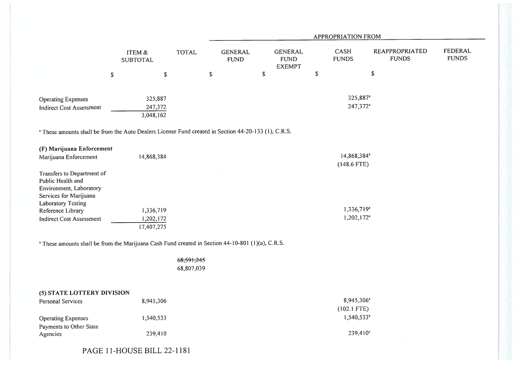|                                                                                                                                                                                                                                                                                                                                                                 |                                                    |                          |                               |             |                                                |             | <b>APPROPRIATION FROM</b>                                                                    |                                       |                                |
|-----------------------------------------------------------------------------------------------------------------------------------------------------------------------------------------------------------------------------------------------------------------------------------------------------------------------------------------------------------------|----------------------------------------------------|--------------------------|-------------------------------|-------------|------------------------------------------------|-------------|----------------------------------------------------------------------------------------------|---------------------------------------|--------------------------------|
|                                                                                                                                                                                                                                                                                                                                                                 | ITEM &<br><b>SUBTOTAL</b>                          | <b>TOTAL</b>             | <b>GENERAL</b><br><b>FUND</b> |             | <b>GENERAL</b><br><b>FUND</b><br><b>EXEMPT</b> |             | <b>CASH</b><br><b>FUNDS</b>                                                                  | <b>REAPPROPRIATED</b><br><b>FUNDS</b> | <b>FEDERAL</b><br><b>FUNDS</b> |
| ${\mathbb S}$                                                                                                                                                                                                                                                                                                                                                   | $\mathbb{S}$                                       | ${\mathbb S}$            |                               | $\mathbb S$ |                                                | $\mathbb S$ |                                                                                              | $\mathbb S$                           |                                |
| <b>Operating Expenses</b><br><b>Indirect Cost Assessment</b>                                                                                                                                                                                                                                                                                                    | 325,887<br>247,372<br>3,048,162                    |                          |                               |             |                                                |             | 325,887 <sup>a</sup><br>247,372 <sup>a</sup>                                                 |                                       |                                |
| <sup>a</sup> These amounts shall be from the Auto Dealers License Fund created in Section 44-20-133 (1), C.R.S.                                                                                                                                                                                                                                                 |                                                    |                          |                               |             |                                                |             |                                                                                              |                                       |                                |
| (F) Marijuana Enforcement<br>Marijuana Enforcement<br>Transfers to Department of<br>Public Health and<br>Environment, Laboratory<br>Services for Marijuana<br><b>Laboratory Testing</b><br>Reference Library<br><b>Indirect Cost Assessment</b><br><sup>a</sup> These amounts shall be from the Marijuana Cash Fund created in Section 44-10-801 (1)(a), C.R.S. | 14,868,384<br>1,336,719<br>1,202,172<br>17,407,275 |                          |                               |             |                                                |             | 14,868,384 <sup>a</sup><br>$(148.6$ FTE)<br>1,336,719 <sup>a</sup><br>1,202,172 <sup>a</sup> |                                       |                                |
|                                                                                                                                                                                                                                                                                                                                                                 |                                                    | 68,591,245<br>68,807,039 |                               |             |                                                |             |                                                                                              |                                       |                                |
| (5) STATE LOTTERY DIVISION<br><b>Personal Services</b>                                                                                                                                                                                                                                                                                                          | 8,945,306                                          |                          |                               |             |                                                |             | 8,945,306 <sup>a</sup>                                                                       |                                       |                                |
| <b>Operating Expenses</b><br>Payments to Other State                                                                                                                                                                                                                                                                                                            | 1,540,533                                          |                          |                               |             |                                                |             | $(102.1$ FTE)<br>1,540,533 <sup>a</sup>                                                      |                                       |                                |
| Agencies                                                                                                                                                                                                                                                                                                                                                        | 239,410                                            |                          |                               |             |                                                |             | 239,410 <sup>a</sup>                                                                         |                                       |                                |

PAGE 11-HOUSE BILL 22-1181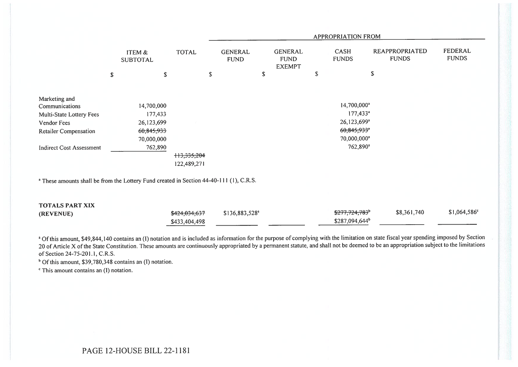|                                                                                                    |                    |                           |               |                               |                                                | <b>APPROPRIATION FROM</b>  |                                       |                           |
|----------------------------------------------------------------------------------------------------|--------------------|---------------------------|---------------|-------------------------------|------------------------------------------------|----------------------------|---------------------------------------|---------------------------|
|                                                                                                    |                    | ITEM &<br><b>SUBTOTAL</b> | <b>TOTAL</b>  | <b>GENERAL</b><br><b>FUND</b> | <b>GENERAL</b><br><b>FUND</b><br><b>EXEMPT</b> | CASH<br><b>FUNDS</b>       | <b>REAPPROPRIATED</b><br><b>FUNDS</b> | FEDERAL<br><b>FUNDS</b>   |
|                                                                                                    | $\pmb{\mathbb{S}}$ | \$                        | S             |                               | \$                                             | \$                         | \$                                    |                           |
|                                                                                                    |                    |                           |               |                               |                                                |                            |                                       |                           |
| Marketing and                                                                                      |                    |                           |               |                               |                                                |                            |                                       |                           |
| Communications                                                                                     |                    | 14,700,000                |               |                               |                                                | 14,700,000 <sup>a</sup>    |                                       |                           |
| Multi-State Lottery Fees                                                                           |                    | 177,433                   |               |                               |                                                | $177,433^a$                |                                       |                           |
| Vendor Fees                                                                                        |                    | 26,123,699                |               |                               |                                                | $26,123,699^a$             |                                       |                           |
| <b>Retailer Compensation</b>                                                                       |                    | 60,845,933                |               |                               |                                                | 60,845,933"                |                                       |                           |
|                                                                                                    |                    | 70,000,000                |               |                               |                                                | 70,000,000 <sup>a</sup>    |                                       |                           |
| <b>Indirect Cost Assessment</b>                                                                    |                    | 762,890                   |               |                               |                                                | $762,890^a$                |                                       |                           |
|                                                                                                    |                    |                           | +13,335,204   |                               |                                                |                            |                                       |                           |
|                                                                                                    |                    |                           | 122,489,271   |                               |                                                |                            |                                       |                           |
|                                                                                                    |                    |                           |               |                               |                                                |                            |                                       |                           |
| <sup>a</sup> These amounts shall be from the Lottery Fund created in Section 44-40-111 (1), C.R.S. |                    |                           |               |                               |                                                |                            |                                       |                           |
|                                                                                                    |                    |                           |               |                               |                                                |                            |                                       |                           |
| <b>TOTALS PART XIX</b>                                                                             |                    |                           |               |                               |                                                |                            |                                       |                           |
| (REVENUE)                                                                                          |                    |                           | \$424,034,637 | \$136,883,528 <sup>a</sup>    |                                                | \$277,724,783 <sup>b</sup> | \$8,361,740                           | $$1,064,586$ <sup>c</sup> |

a Of this amount, \$49,844,140 contains an (I) notation and is included as information for the purpose of complying with the limitation on state fiscal year spending imposed by Section 20 of Article X of the State Constitution. These amounts are continuously appropriated by a permanent statute, and shall not be deemed to be an appropriation subject to the limitations of Section 24-75-201.1, C.R.S.

\$287,094,644<sup>b</sup>

 $<sup>b</sup>$  Of this amount, \$39,780,348 contains an (I) notation.</sup>

' This amount contains an (I) notation.

\$433,404,498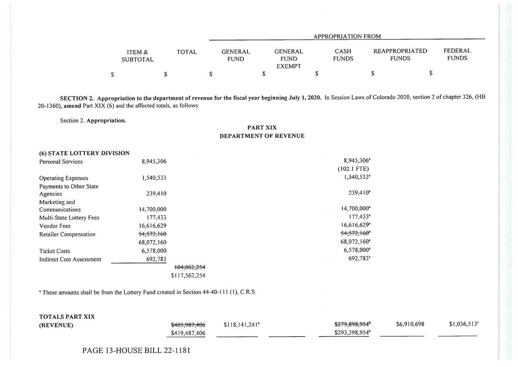|                           |       |                               |                                                | APPROPRIATION FROM          |                                |                         |
|---------------------------|-------|-------------------------------|------------------------------------------------|-----------------------------|--------------------------------|-------------------------|
| ITEM &<br><b>SUBTOTAL</b> | TOTAL | <b>GENERAL</b><br><b>FUND</b> | <b>GENERAL</b><br><b>FUND</b><br><b>EXEMPT</b> | <b>CASH</b><br><b>FUNDS</b> | REAPPROPRIATED<br><b>FUNDS</b> | FEDERAL<br><b>FUNDS</b> |
| \$                        |       |                               |                                                |                             |                                |                         |

SECTION 2. Appropriation to the department of revenue for the fiscal year beginning July 1, 2020. In Session Laws of Colorado 2020, section 2 of chapter 326, (HB 20-1360), amend Part XIX  $(6)$  and the affected totals, as follows:

Section 2. Appropriation.

PART XIX DEPARTMENT OF REVENUE

| (6) STATE LOTTERY DIVISION   |               |                           |
|------------------------------|---------------|---------------------------|
| <b>Personal Services</b>     | 8,945,306     | 8,945,306 <sup>a</sup>    |
|                              |               | $(102.1$ FTE)             |
| <b>Operating Expenses</b>    | 1,540,533     | 1,540,533 <sup>a</sup>    |
| Payments to Other State      |               |                           |
| Agencies                     | 239,410       | $239,410^a$               |
| Marketing and                |               |                           |
| Communications               | 14,700,000    | $14,700,000^a$            |
| Multi-State Lottery Fees     | 177,433       | $177,433^a$               |
| Vendor Fees                  | 16,616,629    | $16,616,629$ <sup>a</sup> |
| <b>Retailer Compensation</b> | 54,572,160    | $54,572,160$ <sup>*</sup> |
|                              | 68,072,160    | 68,072,160 <sup>a</sup>   |
| <b>Ticket Costs</b>          | 6,578,000     | 6,578,000 <sup>a</sup>    |
| Indirect Cost Assessment     | 692,783       | 692,783 <sup>a</sup>      |
|                              | 104,062,254   |                           |
|                              | \$117,562,254 |                           |
|                              |               |                           |

<sup>a</sup> These amounts shall be from the Lottery Fund created in Section 44-40-111 (1), C.R.S.

| <b>TOTALS PART XIX</b> |                          |                            |                            |             |                      |
|------------------------|--------------------------|----------------------------|----------------------------|-------------|----------------------|
| (REVENUE)              | <del>\$405,987,406</del> | \$118,141,241 <sup>a</sup> | <del>\$279,898,954</del> * | \$6,910,698 | $$1,036,513^{\circ}$ |
|                        | \$419,487,406            |                            | $$293,398,954^b$           |             |                      |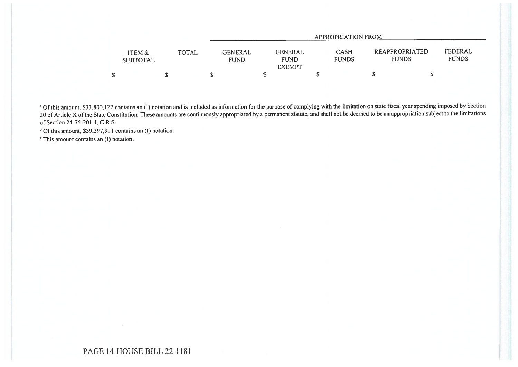|                           |              | APPROPRIATION FROM            |                                                |                             |                                       |                         |  |  |
|---------------------------|--------------|-------------------------------|------------------------------------------------|-----------------------------|---------------------------------------|-------------------------|--|--|
| ITEM &<br><b>SUBTOTAL</b> | <b>TOTAL</b> | <b>GENERAL</b><br><b>FUND</b> | <b>GENERAL</b><br><b>FUND</b><br><b>EXEMPT</b> | <b>CASH</b><br><b>FUNDS</b> | <b>REAPPROPRIATED</b><br><b>FUNDS</b> | FEDERAL<br><b>FUNDS</b> |  |  |
|                           |              |                               |                                                |                             |                                       |                         |  |  |

<sup>a</sup> Of this amount, \$33,800,122 contains an (1) notation and is included as information for the purpose of complying with the limitation on state fiscal year spending imposed by Section 20 of Article X of the State Constitution. These amounts are continuously appropriated by a permanent statute, and shall not be deemed to be an appropriation subject to the limitations of Section 24-75-201.1, C.R.S.

<sup>b</sup> Of this amount, \$39,397,911 contains an (I) notation.

' This amount contains an (I) notation.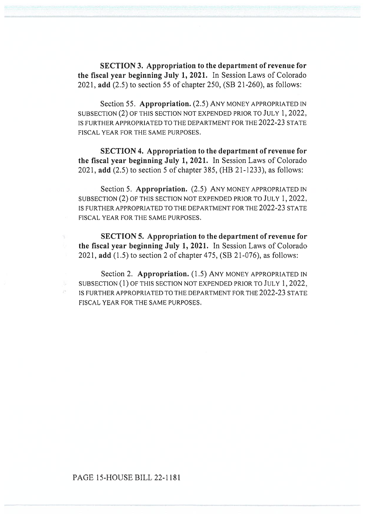SECTION 3. Appropriation to the department of revenue for the fiscal year beginning July 1, 2021. In Session Laws of Colorado 2021, add (2.5) to section 55 of chapter 250, (SB 21-260), as follows:

Section 55. Appropriation. (2.5) ANY MONEY APPROPRIATED IN SUBSECTION (2) OF THIS SECTION NOT EXPENDED PRIOR TO JULY 1, 2022, IS FURTHER APPROPRIATED TO THE DEPARTMENT FOR THE 2022-23 STATE FISCAL YEAR FOR THE SAME PURPOSES.

SECTION 4. Appropriation to the department of revenue for the fiscal year beginning July 1, 2021. In Session Laws of Colorado 2021, add (2.5) to section 5 of chapter 385, (HB 21-1233), as follows:

Section 5. Appropriation. (2.5) ANY MONEY APPROPRIATED IN SUBSECTION (2) OF THIS SECTION NOT EXPENDED PRIOR TO JULY 1, 2022, IS FURTHER APPROPRIATED TO THE DEPARTMENT FOR THE 2022-23 STATE FISCAL YEAR FOR THE SAME PURPOSES.

SECTION 5. Appropriation to the department of revenue for the fiscal year beginning July 1, 2021. In Session Laws of Colorado 2021, add (1.5) to section 2 of chapter 475, (SB 21-076), as follows:

Section 2. Appropriation. (1.5) ANY MONEY APPROPRIATED IN SUBSECTION (1) OF THIS SECTION NOT EXPENDED PRIOR TO JULY 1, 2022, IS FURTHER APPROPRIATED TO THE DEPARTMENT FOR THE 2022-23 STATE FISCAL YEAR FOR THE SAME PURPOSES.